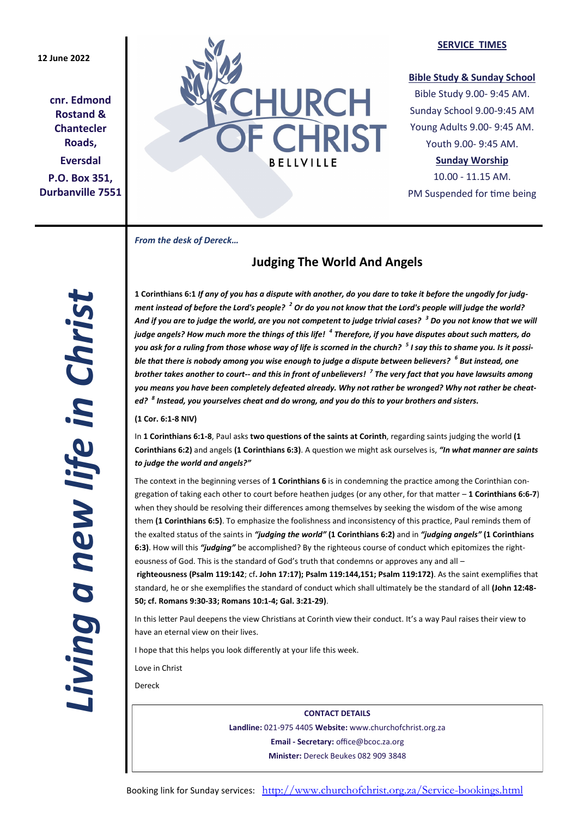## **12 June 2022**

**cnr. Edmond Rostand & Chantecler Roads, Eversdal P.O. Box 351, Durbanville 7551**



#### **SERVICE TIMES**

## **Bible Study & Sunday School**

Bible Study 9.00- 9:45 AM. Sunday School 9.00-9:45 AM Young Adults 9.00- 9:45 AM. Youth 9.00- 9:45 AM.

## **Sunday Worship**

10.00 - 11.15 AM. PM Suspended for time being

*From the desk of Dereck…* 

# **Judging The World And Angels**

**1 Corinthians 6:1** *If any of you has a dispute with another, do you dare to take it before the ungodly for judgment instead of before the Lord's people? <sup>2</sup> Or do you not know that the Lord's people will judge the world? And if you are to judge the world, are you not competent to judge trivial cases? <sup>3</sup> Do you not know that we will judge angels? How much more the things of this life! <sup>4</sup> Therefore, if you have disputes about such matters, do you ask for a ruling from those whose way of life is scorned in the church? <sup>5</sup> I say this to shame you. Is it possible that there is nobody among you wise enough to judge a dispute between believers? <sup>6</sup> But instead, one brother takes another to court-- and this in front of unbelievers! <sup>7</sup> The very fact that you have lawsuits among you means you have been completely defeated already. Why not rather be wronged? Why not rather be cheated? <sup>8</sup> Instead, you yourselves cheat and do wrong, and you do this to your brothers and sisters.*

**(1 Cor. 6:1-8 NIV)**

In **1 Corinthians 6:1-8**, Paul asks **two questions of the saints at Corinth**, regarding saints judging the world **(1 Corinthians 6:2)** and angels **(1 Corinthians 6:3)**. A question we might ask ourselves is, *"In what manner are saints to judge the world and angels?"*

The context in the beginning verses of **1 Corinthians 6** is in condemning the practice among the Corinthian congregation of taking each other to court before heathen judges (or any other, for that matter – **1 Corinthians 6:6-7**) when they should be resolving their differences among themselves by seeking the wisdom of the wise among them **(1 Corinthians 6:5)**. To emphasize the foolishness and inconsistency of this practice, Paul reminds them of the exalted status of the saints in *"judging the world"* **(1 Corinthians 6:2)** and in *"judging angels"* **(1 Corinthians 6:3)**. How will this *"judging"* be accomplished? By the righteous course of conduct which epitomizes the righteousness of God. This is the standard of God's truth that condemns or approves any and all -

**righteousness (Psalm 119:142**; cf**. John 17:17); Psalm 119:144,151; Psalm 119:172)**. As the saint exemplifies that standard, he or she exemplifies the standard of conduct which shall ultimately be the standard of all **(John 12:48- 50; cf. Romans 9:30-33; Romans 10:1-4; Gal. 3:21-29)**.

In this letter Paul deepens the view Christians at Corinth view their conduct. It's a way Paul raises their view to have an eternal view on their lives.

I hope that this helps you look differently at your life this week.

Love in Christ

Dereck

**CONTACT DETAILS Landline:** 021-975 4405 **Website:** www.churchofchrist.org.za **Email - Secretary:** office@bcoc.za.org **Minister:** Dereck Beukes 082 909 3848